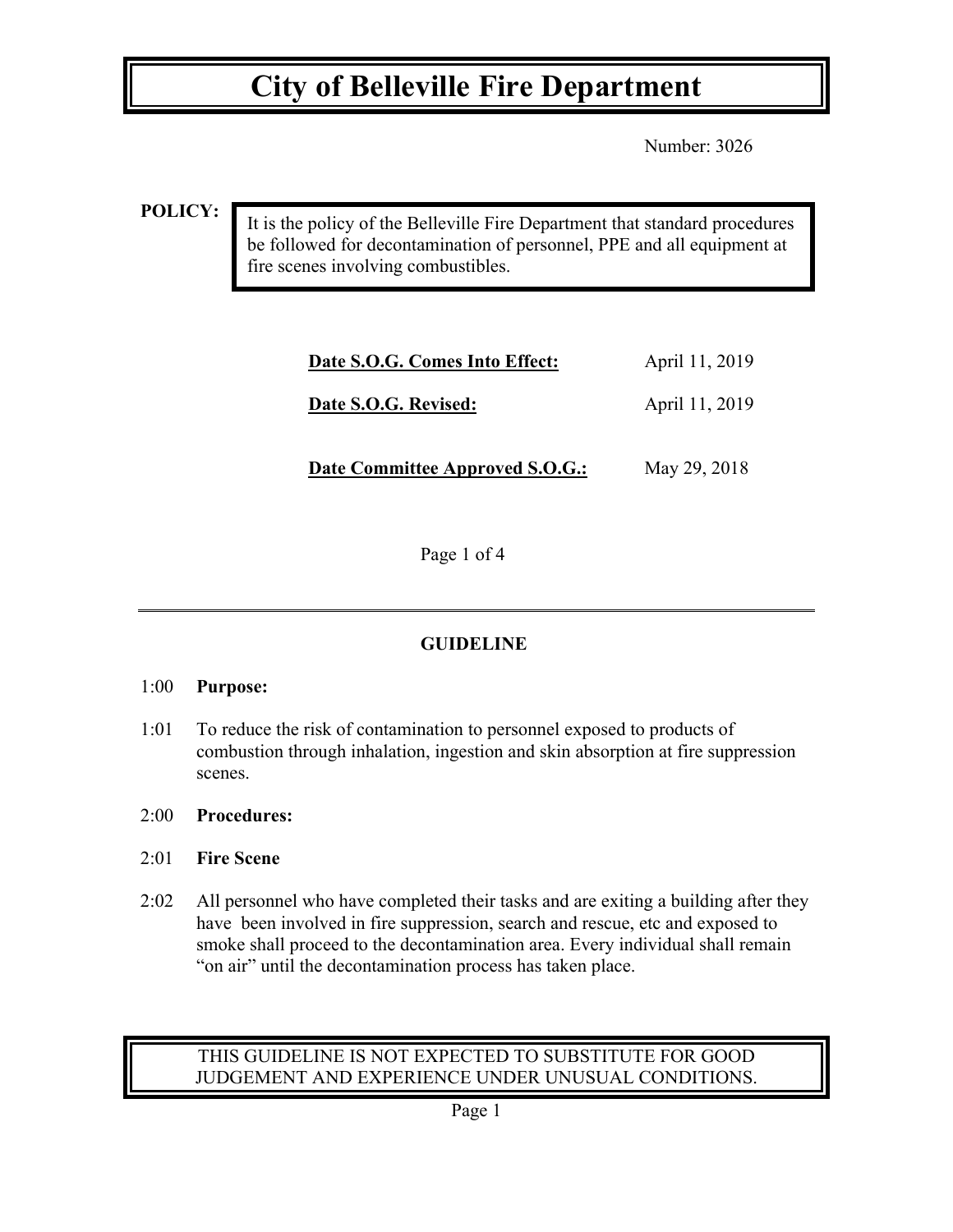Number: 3026

**POLICY:**

It is the policy of the Belleville Fire Department that standard procedures be followed for decontamination of personnel, PPE and all equipment at fire scenes involving combustibles.

| Date S.O.G. Comes Into Effect:  | April 11, 2019 |
|---------------------------------|----------------|
| Date S.O.G. Revised:            | April 11, 2019 |
| Date Committee Approved S.O.G.: | May 29, 2018   |

Page 1 of 4

## **GUIDELINE**

### 1:00 **Purpose:**

- 1:01 To reduce the risk of contamination to personnel exposed to products of combustion through inhalation, ingestion and skin absorption at fire suppression scenes.
- 2:00 **Procedures:**

## 2:01 **Fire Scene**

2:02 All personnel who have completed their tasks and are exiting a building after they have been involved in fire suppression, search and rescue, etc and exposed to smoke shall proceed to the decontamination area. Every individual shall remain "on air" until the decontamination process has taken place.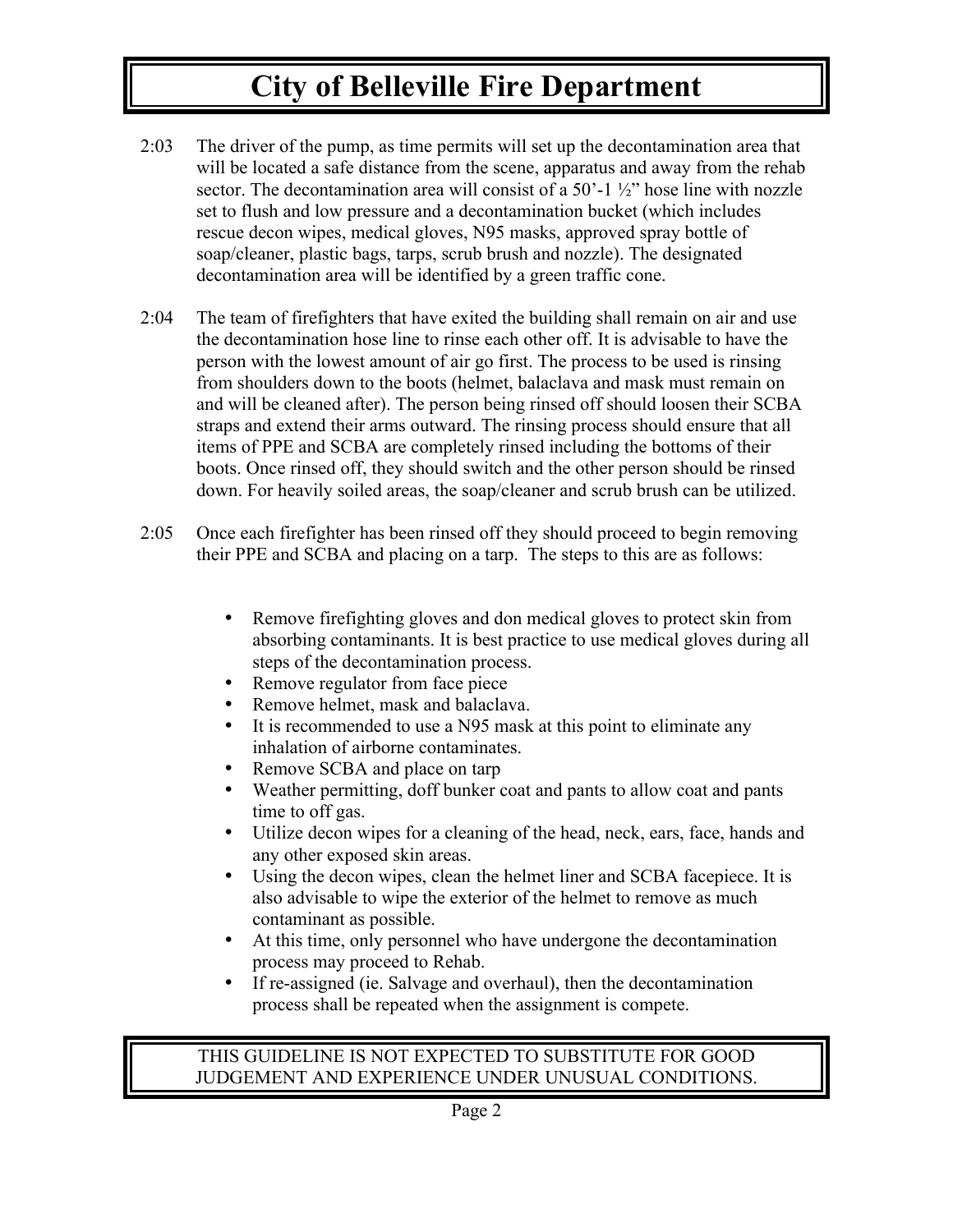- 2:03 The driver of the pump, as time permits will set up the decontamination area that will be located a safe distance from the scene, apparatus and away from the rehab sector. The decontamination area will consist of a 50'-1  $\frac{1}{2}$ " hose line with nozzle set to flush and low pressure and a decontamination bucket (which includes rescue decon wipes, medical gloves, N95 masks, approved spray bottle of soap/cleaner, plastic bags, tarps, scrub brush and nozzle). The designated decontamination area will be identified by a green traffic cone.
- 2:04 The team of firefighters that have exited the building shall remain on air and use the decontamination hose line to rinse each other off. It is advisable to have the person with the lowest amount of air go first. The process to be used is rinsing from shoulders down to the boots (helmet, balaclava and mask must remain on and will be cleaned after). The person being rinsed off should loosen their SCBA straps and extend their arms outward. The rinsing process should ensure that all items of PPE and SCBA are completely rinsed including the bottoms of their boots. Once rinsed off, they should switch and the other person should be rinsed down. For heavily soiled areas, the soap/cleaner and scrub brush can be utilized.
- 2:05 Once each firefighter has been rinsed off they should proceed to begin removing their PPE and SCBA and placing on a tarp. The steps to this are as follows:
	- Remove firefighting gloves and don medical gloves to protect skin from absorbing contaminants. It is best practice to use medical gloves during all steps of the decontamination process.
	- Remove regulator from face piece
	- Remove helmet, mask and balaclava.<br>• It is recommended to use a N95 mask
	- It is recommended to use a N95 mask at this point to eliminate any inhalation of airborne contaminates.
	- Remove SCBA and place on tarp
	- Weather permitting, doff bunker coat and pants to allow coat and pants time to off gas.
	- Utilize decon wipes for a cleaning of the head, neck, ears, face, hands and any other exposed skin areas.
	- Using the decon wipes, clean the helmet liner and SCBA facepiece. It is also advisable to wipe the exterior of the helmet to remove as much contaminant as possible.
	- At this time, only personnel who have undergone the decontamination process may proceed to Rehab.
	- If re-assigned (ie. Salvage and overhaul), then the decontamination process shall be repeated when the assignment is compete.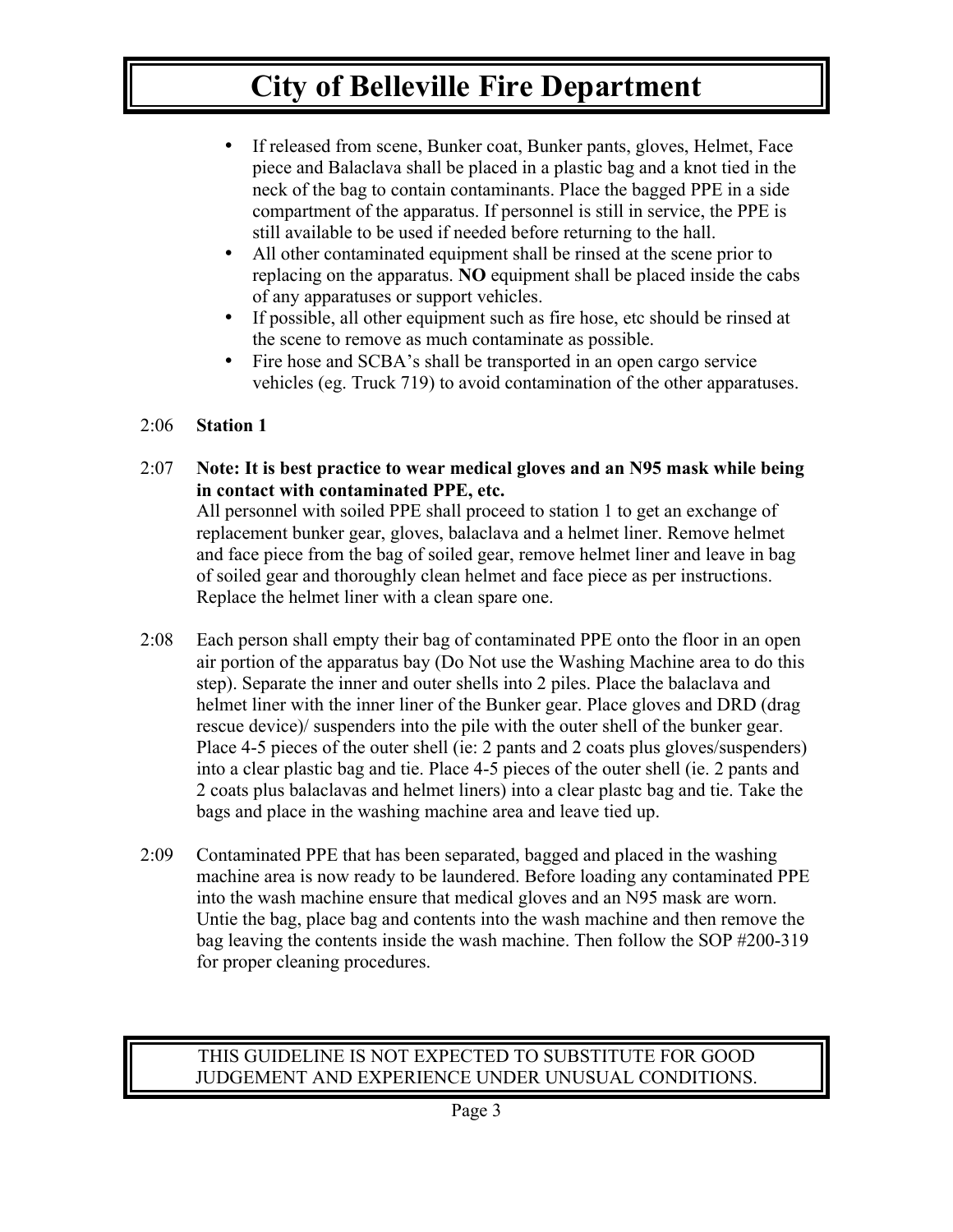- If released from scene, Bunker coat, Bunker pants, gloves, Helmet, Face piece and Balaclava shall be placed in a plastic bag and a knot tied in the neck of the bag to contain contaminants. Place the bagged PPE in a side compartment of the apparatus. If personnel is still in service, the PPE is still available to be used if needed before returning to the hall.
- All other contaminated equipment shall be rinsed at the scene prior to replacing on the apparatus. **NO** equipment shall be placed inside the cabs of any apparatuses or support vehicles.
- If possible, all other equipment such as fire hose, etc should be rinsed at the scene to remove as much contaminate as possible.
- Fire hose and SCBA's shall be transported in an open cargo service vehicles (eg. Truck 719) to avoid contamination of the other apparatuses.

#### 2:06 **Station 1**

2:07 **Note: It is best practice to wear medical gloves and an N95 mask while being in contact with contaminated PPE, etc.**

All personnel with soiled PPE shall proceed to station 1 to get an exchange of replacement bunker gear, gloves, balaclava and a helmet liner. Remove helmet and face piece from the bag of soiled gear, remove helmet liner and leave in bag of soiled gear and thoroughly clean helmet and face piece as per instructions. Replace the helmet liner with a clean spare one.

- 2:08 Each person shall empty their bag of contaminated PPE onto the floor in an open air portion of the apparatus bay (Do Not use the Washing Machine area to do this step). Separate the inner and outer shells into 2 piles. Place the balaclava and helmet liner with the inner liner of the Bunker gear. Place gloves and DRD (drag rescue device)/ suspenders into the pile with the outer shell of the bunker gear. Place 4-5 pieces of the outer shell (ie: 2 pants and 2 coats plus gloves/suspenders) into a clear plastic bag and tie. Place 4-5 pieces of the outer shell (ie. 2 pants and 2 coats plus balaclavas and helmet liners) into a clear plastc bag and tie. Take the bags and place in the washing machine area and leave tied up.
- 2:09 Contaminated PPE that has been separated, bagged and placed in the washing machine area is now ready to be laundered. Before loading any contaminated PPE into the wash machine ensure that medical gloves and an N95 mask are worn. Untie the bag, place bag and contents into the wash machine and then remove the bag leaving the contents inside the wash machine. Then follow the SOP #200-319 for proper cleaning procedures.